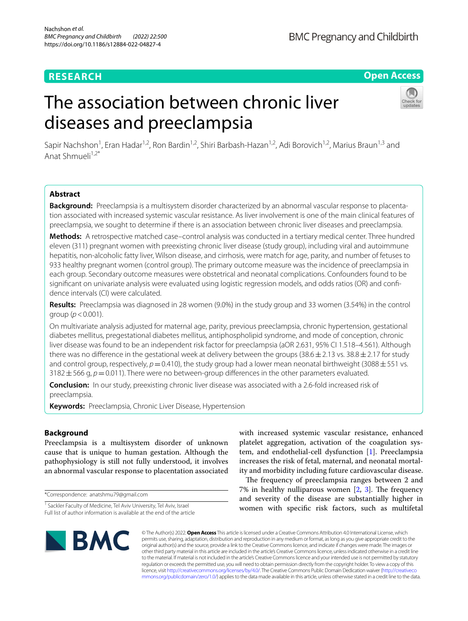# **RESEARCH**

**BMC Pregnancy and Childbirth** 

## **Open Access**

# The association between chronic liver diseases and preeclampsia



Sapir Nachshon<sup>1</sup>, Eran Hadar<sup>1,2</sup>, Ron Bardin<sup>1,2</sup>, Shiri Barbash-Hazan<sup>1,2</sup>, Adi Borovich<sup>1,2</sup>, Marius Braun<sup>1,3</sup> and Anat Shmueli $1,2^*$ 

## **Abstract**

**Background:** Preeclampsia is a multisystem disorder characterized by an abnormal vascular response to placentation associated with increased systemic vascular resistance. As liver involvement is one of the main clinical features of preeclampsia, we sought to determine if there is an association between chronic liver diseases and preeclampsia.

**Methods:** A retrospective matched case–control analysis was conducted in a tertiary medical center. Three hundred eleven (311) pregnant women with preexisting chronic liver disease (study group), including viral and autoimmune hepatitis, non-alcoholic fatty liver, Wilson disease, and cirrhosis, were match for age, parity, and number of fetuses to 933 healthy pregnant women (control group). The primary outcome measure was the incidence of preeclampsia in each group. Secondary outcome measures were obstetrical and neonatal complications. Confounders found to be significant on univariate analysis were evaluated using logistic regression models, and odds ratios (OR) and confidence intervals (CI) were calculated.

**Results:** Preeclampsia was diagnosed in 28 women (9.0%) in the study group and 33 women (3.54%) in the control group (*p*<0.001).

On multivariate analysis adjusted for maternal age, parity, previous preeclampsia, chronic hypertension, gestational diabetes mellitus, pregestational diabetes mellitus, antiphospholipid syndrome, and mode of conception, chronic liver disease was found to be an independent risk factor for preeclampsia (aOR 2.631, 95% CI 1.518–4.561). Although there was no difference in the gestational week at delivery between the groups (38.6 $\pm$ 2.13 vs. 38.8 $\pm$ 2.17 for study and control group, respectively,  $p=0.410$ ), the study group had a lower mean neonatal birthweight (3088 $\pm$ 551 vs.  $3182 \pm 566$  g,  $p=0.011$ ). There were no between-group differences in the other parameters evaluated.

**Conclusion:** In our study, preexisting chronic liver disease was associated with a 2.6-fold increased risk of preeclampsia.

**Keywords:** Preeclampsia, Chronic Liver Disease, Hypertension

## **Background**

Preeclampsia is a multisystem disorder of unknown cause that is unique to human gestation. Although the pathophysiology is still not fully understood, it involves an abnormal vascular response to placentation associated

\*Correspondence: anatshmu79@gmail.com

with increased systemic vascular resistance, enhanced platelet aggregation, activation of the coagulation system, and endothelial-cell dysfunction [[1\]](#page-5-0). Preeclampsia increases the risk of fetal, maternal, and neonatal mortality and morbidity including future cardiovascular disease.

The frequency of preeclampsia ranges between 2 and 7% in healthy nulliparous women  $[2, 3]$  $[2, 3]$  $[2, 3]$  $[2, 3]$ . The frequency and severity of the disease are substantially higher in women with specifc risk factors, such as multifetal



© The Author(s) 2022. **Open Access** This article is licensed under a Creative Commons Attribution 4.0 International License, which permits use, sharing, adaptation, distribution and reproduction in any medium or format, as long as you give appropriate credit to the original author(s) and the source, provide a link to the Creative Commons licence, and indicate if changes were made. The images or other third party material in this article are included in the article's Creative Commons licence, unless indicated otherwise in a credit line to the material. If material is not included in the article's Creative Commons licence and your intended use is not permitted by statutory regulation or exceeds the permitted use, you will need to obtain permission directly from the copyright holder. To view a copy of this licence, visit [http://creativecommons.org/licenses/by/4.0/.](http://creativecommons.org/licenses/by/4.0/) The Creative Commons Public Domain Dedication waiver ([http://creativeco](http://creativecommons.org/publicdomain/zero/1.0/) [mmons.org/publicdomain/zero/1.0/](http://creativecommons.org/publicdomain/zero/1.0/)) applies to the data made available in this article, unless otherwise stated in a credit line to the data.

<sup>&</sup>lt;sup>1</sup> Sackler Faculty of Medicine, Tel Aviv University, Tel Aviv, Israel Full list of author information is available at the end of the article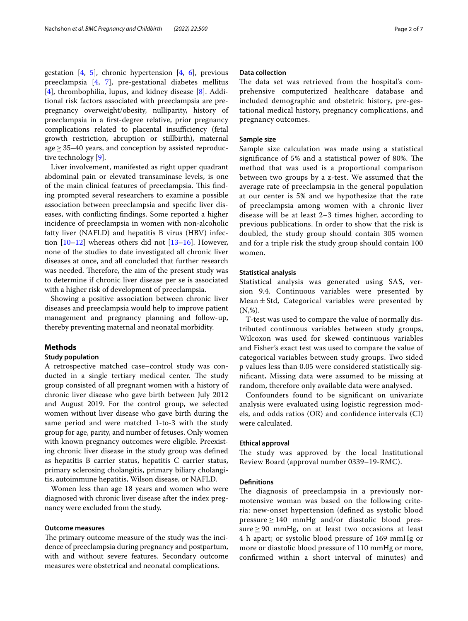gestation  $[4, 5]$  $[4, 5]$  $[4, 5]$  $[4, 5]$ , chronic hypertension  $[4, 6]$  $[4, 6]$  $[4, 6]$  $[4, 6]$ , previous preeclampsia [\[4](#page-6-0), [7\]](#page-6-3), pre-gestational diabetes mellitus [[4\]](#page-6-0), thrombophilia, lupus, and kidney disease [\[8\]](#page-6-4). Additional risk factors associated with preeclampsia are prepregnancy overweight/obesity, nulliparity, history of preeclampsia in a frst-degree relative, prior pregnancy complications related to placental insufficiency (fetal growth restriction, abruption or stillbirth), maternal age $\geq$  35–40 years, and conception by assisted reproductive technology [[9\]](#page-6-5).

Liver involvement, manifested as right upper quadrant abdominal pain or elevated transaminase levels, is one of the main clinical features of preeclampsia. This finding prompted several researchers to examine a possible association between preeclampsia and specifc liver diseases, with conficting fndings. Some reported a higher incidence of preeclampsia in women with non-alcoholic fatty liver (NAFLD) and hepatitis B virus (HBV) infection  $[10-12]$  $[10-12]$  whereas others did not  $[13-16]$  $[13-16]$ . However, none of the studies to date investigated all chronic liver diseases at once, and all concluded that further research was needed. Therefore, the aim of the present study was to determine if chronic liver disease per se is associated with a higher risk of development of preeclampsia.

Showing a positive association between chronic liver diseases and preeclampsia would help to improve patient management and pregnancy planning and follow-up, thereby preventing maternal and neonatal morbidity.

## **Methods**

## **Study population**

A retrospective matched case–control study was conducted in a single tertiary medical center. The study group consisted of all pregnant women with a history of chronic liver disease who gave birth between July 2012 and August 2019. For the control group, we selected women without liver disease who gave birth during the same period and were matched 1-to-3 with the study group for age, parity, and number of fetuses. Only women with known pregnancy outcomes were eligible. Preexisting chronic liver disease in the study group was defned as hepatitis B carrier status, hepatitis C carrier status, primary sclerosing cholangitis, primary biliary cholangitis, autoimmune hepatitis, Wilson disease, or NAFLD.

Women less than age 18 years and women who were diagnosed with chronic liver disease after the index pregnancy were excluded from the study.

## **Outcome measures**

The primary outcome measure of the study was the incidence of preeclampsia during pregnancy and postpartum, with and without severe features. Secondary outcome measures were obstetrical and neonatal complications.

## **Data collection**

The data set was retrieved from the hospital's comprehensive computerized healthcare database and included demographic and obstetric history, pre-gestational medical history, pregnancy complications, and pregnancy outcomes.

## **Sample size**

Sample size calculation was made using a statistical significance of 5% and a statistical power of 80%. The method that was used is a proportional comparison between two groups by a z-test. We assumed that the average rate of preeclampsia in the general population at our center is 5% and we hypothesize that the rate of preeclampsia among women with a chronic liver disease will be at least 2–3 times higher, according to previous publications. In order to show that the risk is doubled, the study group should contain 305 women and for a triple risk the study group should contain 100 women.

## **Statistical analysis**

Statistical analysis was generated using SAS, version 9.4. Continuous variables were presented by Mean $\pm$  Std, Categorical variables were presented by  $(N, \%)$ .

T-test was used to compare the value of normally distributed continuous variables between study groups, Wilcoxon was used for skewed continuous variables and Fisher's exact test was used to compare the value of categorical variables between study groups. Two sided p values less than 0.05 were considered statistically signifcant**.** Missing data were assumed to be missing at random, therefore only available data were analysed.

Confounders found to be signifcant on univariate analysis were evaluated using logistic regression models, and odds ratios (OR) and confdence intervals (CI) were calculated.

## **Ethical approval**

The study was approved by the local Institutional Review Board (approval number 0339–19-RMC).

## **Defnitions**

The diagnosis of preeclampsia in a previously normotensive woman was based on the following criteria: new-onset hypertension (defned as systolic blood  $pressure \geq 140$  mmHg and/or diastolic blood pressure  $\geq$  90 mmHg, on at least two occasions at least 4 h apart; or systolic blood pressure of 169 mmHg or more or diastolic blood pressure of 110 mmHg or more, confrmed within a short interval of minutes) and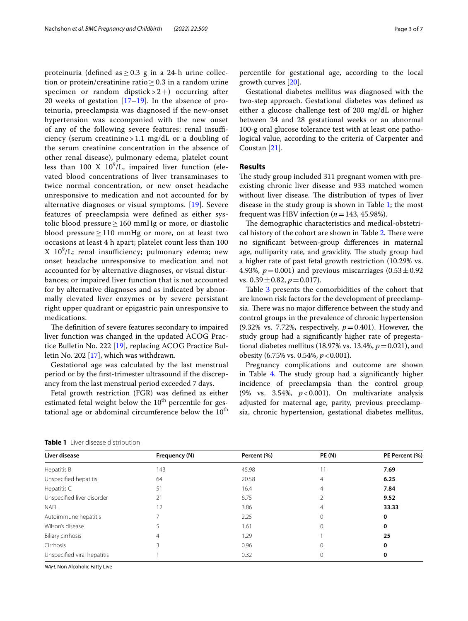proteinuria (defined as  $\geq$  0.3 g in a 24-h urine collection or protein/creatinine ratio  $> 0.3$  in a random urine specimen or random dipstick  $> 2+$ ) occurring after 20 weeks of gestation  $[17–19]$  $[17–19]$  $[17–19]$ . In the absence of proteinuria, preeclampsia was diagnosed if the new-onset hypertension was accompanied with the new onset of any of the following severe features: renal insufficiency (serum creatinine > 1.1 mg/dL or a doubling of the serum creatinine concentration in the absence of other renal disease), pulmonary edema, platelet count less than  $100 \text{ X } 10^9/\text{L}$ , impaired liver function (elevated blood concentrations of liver transaminases to twice normal concentration, or new onset headache unresponsive to medication and not accounted for by alternative diagnoses or visual symptoms. [[19\]](#page-6-11). Severe features of preeclampsia were defned as either systolic blood pressure  $\geq 160$  mmHg or more, or diastolic blood pressure  $≥ 110$  mmHg or more, on at least two occasions at least 4 h apart; platelet count less than 100 X 10<sup>9</sup>/L; renal insufficiency; pulmonary edema; new onset headache unresponsive to medication and not accounted for by alternative diagnoses, or visual disturbances; or impaired liver function that is not accounted for by alternative diagnoses and as indicated by abnormally elevated liver enzymes or by severe persistant right upper quadrant or epigastric pain unresponsive to medications.

The definition of severe features secondary to impaired liver function was changed in the updated ACOG Practice Bulletin No. 222 [\[19](#page-6-11)], replacing ACOG Practice Bulletin No. 202 [[17\]](#page-6-10), which was withdrawn.

Gestational age was calculated by the last menstrual period or by the frst-trimester ultrasound if the discrepancy from the last menstrual period exceeded 7 days.

Fetal growth restriction (FGR) was defned as either estimated fetal weight below the  $10<sup>th</sup>$  percentile for gestational age or abdominal circumference below the  $10<sup>th</sup>$  percentile for gestational age, according to the local growth curves [[20](#page-6-12)].

Gestational diabetes mellitus was diagnosed with the two-step approach. Gestational diabetes was defned as either a glucose challenge test of 200 mg/dL or higher between 24 and 28 gestational weeks or an abnormal 100-g oral glucose tolerance test with at least one pathological value, according to the criteria of Carpenter and Coustan [[21](#page-6-13)].

## **Results**

The study group included 311 pregnant women with preexisting chronic liver disease and 933 matched women without liver disease. The distribution of types of liver disease in the study group is shown in Table [1;](#page-2-0) the most frequent was HBV infection  $(n=143, 45.98\%).$ 

The demographic characteristics and medical-obstetri-cal history of the cohort are shown in Table [2.](#page-3-0) There were no signifcant between-group diferences in maternal age, nulliparity rate, and gravidity. The study group had a higher rate of past fetal growth restriction (10.29% vs. 4.93%,  $p = 0.001$ ) and previous miscarriages  $(0.53 \pm 0.92)$ vs.  $0.39 \pm 0.82$ ,  $p = 0.017$ ).

Table [3](#page-3-1) presents the comorbidities of the cohort that are known risk factors for the development of preeclampsia. There was no major difference between the study and control groups in the prevalence of chronic hypertension (9.32% vs. 7.72%, respectively,  $p = 0.401$ ). However, the study group had a signifcantly higher rate of pregestational diabetes mellitus (18.97% vs. 13.4%,  $p = 0.021$ ), and obesity (6.75% vs. 0.54%, *p*<0.001).

Pregnancy complications and outcome are shown in Table  $4$ . The study group had a significantly higher incidence of preeclampsia than the control group (9% vs. 3.54%, *p*<0.001). On multivariate analysis adjusted for maternal age, parity, previous preeclampsia, chronic hypertension, gestational diabetes mellitus,

<span id="page-2-0"></span>

| <b>Table 1</b> Liver disease distribution |
|-------------------------------------------|
|-------------------------------------------|

| Liver disease               | Frequency (N)            | Percent (%) | <b>PE (N)</b> | PE Percent (%) |
|-----------------------------|--------------------------|-------------|---------------|----------------|
| Hepatitis B                 | 143                      | 45.98       |               | 7.69           |
| Unspecified hepatitis       | 64                       | 20.58       | 4             | 6.25           |
| Hepatitis C                 | 51                       | 16.4        | 4             | 7.84           |
| Unspecified liver disorder  | 21                       | 6.75        |               | 9.52           |
| <b>NAFL</b>                 | 12                       | 3.86        | 4             | 33.33          |
| Autoimmune hepatitis        | $\overline{\phantom{1}}$ | 2.25        | 0             | 0              |
| Wilson's disease            | 5                        | 1.61        | 0             | 0              |
| Biliary cirrhosis           | 4                        | 1.29        |               | 25             |
| Cirrhosis                   |                          | 0.96        | $\Omega$      | 0              |
| Unspecified viral hepatitis |                          | 0.32        | $\mathbf 0$   | 0              |

*NAFL* Non Alcoholic Fatty Live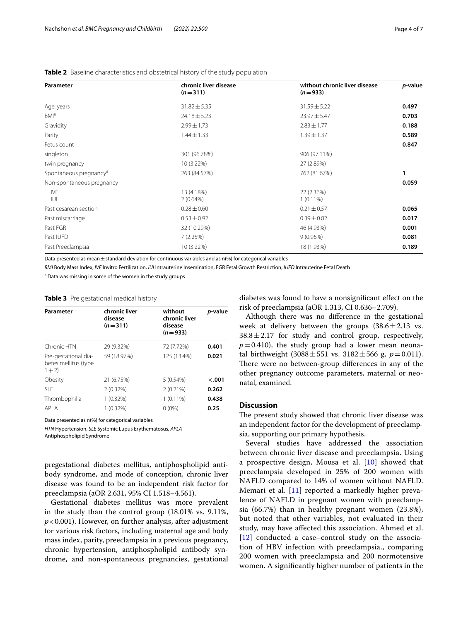| Parameter                          | chronic liver disease<br>$(n=311)$ | without chronic liver disease<br>$(n=933)$ | p-value |
|------------------------------------|------------------------------------|--------------------------------------------|---------|
| Age, years                         | $31.82 \pm 5.35$                   | $31.59 \pm 5.22$                           | 0.497   |
| BMI <sup>a</sup>                   | $24.18 \pm 5.23$                   | $23.97 \pm 5.47$                           | 0.703   |
| Gravidity                          | $2.99 \pm 1.73$                    | $2.83 \pm 1.77$                            | 0.188   |
| Parity                             | $1.44 \pm 1.33$                    | $1.39 \pm 1.37$                            | 0.589   |
| Fetus count                        |                                    |                                            | 0.847   |
| singleton                          | 301 (96.78%)                       | 906 (97.11%)                               |         |
| twin pregnancy                     | 10 (3.22%)                         | 27 (2.89%)                                 |         |
| Spontaneous pregnancy <sup>a</sup> | 263 (84.57%)                       | 762 (81.67%)                               |         |
| Non-spontaneous pregnancy          |                                    |                                            | 0.059   |
| IVF<br>IUI                         | 13 (4.18%)<br>$2(0.64\%)$          | 22 (2.36%)<br>$1(0.11\%)$                  |         |
| Past cesarean section              | $0.28 \pm 0.60$                    | $0.21 \pm 0.57$                            | 0.065   |
| Past miscarriage                   | $0.53 \pm 0.92$                    | $0.39 \pm 0.82$                            | 0.017   |
| Past FGR                           | 32 (10.29%)                        | 46 (4.93%)                                 | 0.001   |
| Past IUFD                          | 7(2.25%)                           | $9(0.96\%)$                                | 0.081   |
| Past Preeclampsia                  | 10 (3.22%)                         | 18 (1.93%)                                 | 0.189   |

<span id="page-3-0"></span>**Table 2** Baseline characteristics and obstetrical history of the study population

Data presented as mean  $\pm$  standard deviation for continuous variables and as n(%) for categorical variables

*BMI* Body Mass Index, *IVF* Invitro Fertilization, *IUI* Intrauterine Insemination, FGR Fetal Growth Restriction, *IUFD* Intrauterine Fetal Death

<sup>a</sup> Data was missing in some of the women in the study groups

<span id="page-3-1"></span>

| Table 3 Pre gestational medical history |  |
|-----------------------------------------|--|
|                                         |  |

| Parameter                                               | chronic liver<br>disease<br>$(n=311)$ | without<br>chronic liver<br>disease<br>$(n=933)$ | p-value |
|---------------------------------------------------------|---------------------------------------|--------------------------------------------------|---------|
| Chronic HTN                                             | 29 (9.32%)                            | 72 (7.72%)                                       | 0.401   |
| Pre-gestational dia-<br>betes mellitus (type<br>$1 + 2$ | 59 (18.97%)                           | 125 (13.4%)                                      | 0.021   |
| Obesity                                                 | 21 (6.75%)                            | $5(0.54\%)$                                      | $-.001$ |
| SI F                                                    | $2(0.32\%)$                           | $2(0.21\%)$                                      | 0.262   |
| Thrombophilia                                           | $1(0.32\%)$                           | $1(0.11\%)$                                      | 0.438   |
| API A                                                   | $1(0.32\%)$                           | $0(0\%)$                                         | 0.25    |

Data presented as n(%) for categorical variables

*HTN* Hypertension, *SLE* Systemic Lupus Erythematosus, *APLA*

Antiphospholipid Syndrome

pregestational diabetes mellitus, antiphospholipid antibody syndrome, and mode of conception, chronic liver disease was found to be an independent risk factor for preeclampsia (aOR 2.631, 95% CI 1.518–4.561).

Gestational diabetes mellitus was more prevalent in the study than the control group (18.01% vs. 9.11%, *p*<0.001). However, on further analysis, after adjustment for various risk factors, including maternal age and body mass index, parity, preeclampsia in a previous pregnancy, chronic hypertension, antiphospholipid antibody syndrome, and non-spontaneous pregnancies, gestational

diabetes was found to have a nonsignifcant efect on the risk of preeclampsia (aOR 1.313, CI 0.636–2.709).

Although there was no diference in the gestational week at delivery between the groups  $(38.6 \pm 2.13 \text{ vs.})$  $38.8 \pm 2.17$  for study and control group, respectively,  $p=0.410$ ), the study group had a lower mean neonatal birthweight  $(3088 \pm 551 \text{ vs. } 3182 \pm 566 \text{ g}, p = 0.011)$ . There were no between-group differences in any of the other pregnancy outcome parameters, maternal or neonatal, examined.

## **Discussion**

The present study showed that chronic liver disease was an independent factor for the development of preeclampsia, supporting our primary hypothesis.

Several studies have addressed the association between chronic liver disease and preeclampsia. Using a prospective design, Mousa et al. [[10\]](#page-6-6) showed that preeclampsia developed in 25% of 200 women with NAFLD compared to 14% of women without NAFLD. Memari et al. [[11](#page-6-14)] reported a markedly higher prevalence of NAFLD in pregnant women with preeclampsia (66.7%) than in healthy pregnant women (23.8%), but noted that other variables, not evaluated in their study, may have afected this association. Ahmed et al. [[12](#page-6-7)] conducted a case–control study on the association of HBV infection with preeclampsia., comparing 200 women with preeclampsia and 200 normotensive women. A signifcantly higher number of patients in the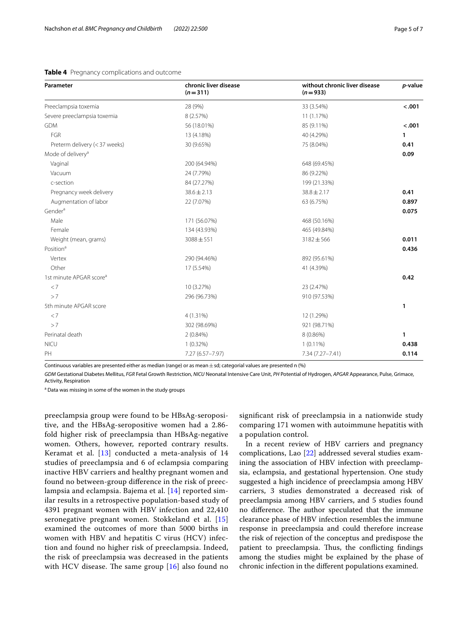| Parameter                           | chronic liver disease<br>$(n=311)$ | without chronic liver disease<br>$(n=933)$ | p-value |
|-------------------------------------|------------------------------------|--------------------------------------------|---------|
| Preeclampsia toxemia                | 28 (9%)                            | 33 (3.54%)                                 | < .001  |
| Severe preeclampsia toxemia         | 8 (2.57%)                          | 11 (1.17%)                                 |         |
| <b>GDM</b>                          | 56 (18.01%)                        | 85 (9.11%)                                 | < .001  |
| FGR                                 | 13 (4.18%)                         | 40 (4.29%)                                 | 1       |
| Preterm delivery (< 37 weeks)       | 30 (9.65%)                         | 75 (8.04%)                                 | 0.41    |
| Mode of delivery <sup>a</sup>       |                                    |                                            | 0.09    |
| Vaginal                             | 200 (64.94%)                       | 648 (69.45%)                               |         |
| Vacuum                              | 24 (7.79%)                         | 86 (9.22%)                                 |         |
| c-section                           | 84 (27.27%)                        | 199 (21.33%)                               |         |
| Pregnancy week delivery             | $38.6 \pm 2.13$                    | $38.8 \pm 2.17$                            | 0.41    |
| Augmentation of labor               | 22 (7.07%)                         | 63 (6.75%)                                 | 0.897   |
| Gender <sup>a</sup>                 |                                    |                                            | 0.075   |
| Male                                | 171 (56.07%)                       | 468 (50.16%)                               |         |
| Female                              | 134 (43.93%)                       | 465 (49.84%)                               |         |
| Weight (mean, grams)                | $3088 \pm 551$                     | 3182±566                                   | 0.011   |
| Position <sup>a</sup>               |                                    |                                            | 0.436   |
| Vertex                              | 290 (94.46%)                       | 892 (95.61%)                               |         |
| Other                               | 17 (5.54%)                         | 41 (4.39%)                                 |         |
| 1st minute APGAR score <sup>a</sup> |                                    |                                            | 0.42    |
| < 7                                 | 10 (3.27%)                         | 23 (2.47%)                                 |         |
| >7                                  | 296 (96.73%)                       | 910 (97.53%)                               |         |
| 5th minute APGAR score              |                                    |                                            | 1       |
| < 7                                 | $4(1.31\%)$                        | 12 (1.29%)                                 |         |
| >7                                  | 302 (98.69%)                       | 921 (98.71%)                               |         |
| Perinatal death                     | $2(0.84\%)$                        | 8 (0.86%)                                  | 1       |
| <b>NICU</b>                         | $1(0.32\%)$                        | $1(0.11\%)$                                | 0.438   |
| PH                                  | 7.27 (6.57-7.97)                   | 7.34 (7.27-7.41)                           | 0.114   |

## <span id="page-4-0"></span>**Table 4** Pregnancy complications and outcome

Continuous variables are presented either as median (range) or as mean  $\pm$  sd; categorial values are presented n (%)

*GDM* Gestational Diabetes Mellitus, *FGR* Fetal Growth Restriction, *NICU* Neonatal Intensive Care Unit, *PH* Potential of Hydrogen, *APGAR* Appearance, Pulse, Grimace, Activity, Respiration

<sup>a</sup> Data was missing in some of the women in the study groups

preeclampsia group were found to be HBsAg-seropositive, and the HBsAg-seropositive women had a 2.86 fold higher risk of preeclampsia than HBsAg-negative women. Others, however, reported contrary results. Keramat et al. [\[13](#page-6-8)] conducted a meta-analysis of 14 studies of preeclampsia and 6 of eclampsia comparing inactive HBV carriers and healthy pregnant women and found no between-group diference in the risk of preeclampsia and eclampsia. Bajema et al. [\[14\]](#page-6-15) reported similar results in a retrospective population-based study of 4391 pregnant women with HBV infection and 22,410 seronegative pregnant women. Stokkeland et al. [\[15](#page-6-16)] examined the outcomes of more than 5000 births in women with HBV and hepatitis C virus (HCV) infection and found no higher risk of preeclampsia. Indeed, the risk of preeclampsia was decreased in the patients with HCV disease. The same group  $[16]$  $[16]$  $[16]$  also found no

signifcant risk of preeclampsia in a nationwide study comparing 171 women with autoimmune hepatitis with a population control.

In a recent review of HBV carriers and pregnancy complications, Lao [[22](#page-6-17)] addressed several studies examining the association of HBV infection with preeclampsia, eclampsia, and gestational hypertension. One study suggested a high incidence of preeclampsia among HBV carriers, 3 studies demonstrated a decreased risk of preeclampsia among HBV carriers, and 5 studies found no difference. The author speculated that the immune clearance phase of HBV infection resembles the immune response in preeclampsia and could therefore increase the risk of rejection of the conceptus and predispose the patient to preeclampsia. Thus, the conflicting findings among the studies might be explained by the phase of chronic infection in the diferent populations examined.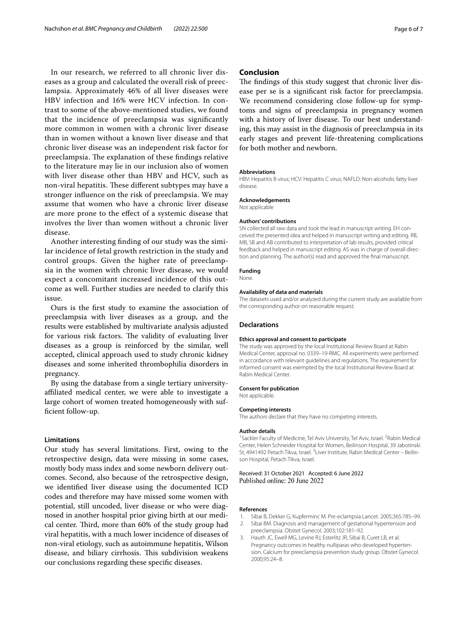In our research, we referred to all chronic liver diseases as a group and calculated the overall risk of preeclampsia. Approximately 46% of all liver diseases were HBV infection and 16% were HCV infection. In contrast to some of the above-mentioned studies, we found that the incidence of preeclampsia was signifcantly more common in women with a chronic liver disease than in women without a known liver disease and that chronic liver disease was an independent risk factor for preeclampsia. The explanation of these findings relative to the literature may lie in our inclusion also of women with liver disease other than HBV and HCV, such as non-viral hepatitis. These different subtypes may have a stronger infuence on the risk of preeclampsia. We may assume that women who have a chronic liver disease are more prone to the efect of a systemic disease that involves the liver than women without a chronic liver disease.

Another interesting fnding of our study was the similar incidence of fetal growth restriction in the study and control groups. Given the higher rate of preeclampsia in the women with chronic liver disease, we would expect a concomitant increased incidence of this outcome as well. Further studies are needed to clarify this issue.

Ours is the frst study to examine the association of preeclampsia with liver diseases as a group, and the results were established by multivariate analysis adjusted for various risk factors. The validity of evaluating liver diseases as a group is reinforced by the similar, well accepted, clinical approach used to study chronic kidney diseases and some inherited thrombophilia disorders in pregnancy.

By using the database from a single tertiary universityafliated medical center, we were able to investigate a large cohort of women treated homogeneously with suffcient follow-up.

## **Limitations**

Our study has several limitations. First, owing to the retrospective design, data were missing in some cases, mostly body mass index and some newborn delivery outcomes. Second, also because of the retrospective design, we identifed liver disease using the documented ICD codes and therefore may have missed some women with potential, still uncoded, liver disease or who were diagnosed in another hospital prior giving birth at our medical center. Third, more than 60% of the study group had viral hepatitis, with a much lower incidence of diseases of non-viral etiology, such as autoimmune hepatitis, Wilson disease, and biliary cirrhosis. This subdivision weakens our conclusions regarding these specifc diseases.

## **Conclusion**

The findings of this study suggest that chronic liver disease per se is a signifcant risk factor for preeclampsia. We recommend considering close follow-up for symptoms and signs of preeclampsia in pregnancy women with a history of liver disease. To our best understanding, this may assist in the diagnosis of preeclampsia in its early stages and prevent life-threatening complications for both mother and newborn.

#### **Abbreviations**

HBV: Hepatitis B virus; HCV: Hepatitis C virus; NAFLD: Non-alcoholic fatty liver disease.

#### **Acknowledgements**

Not applicable

## **Authors' contributions**

SN collected all raw data and took the lead in manuscript writing. EH conceived the presented idea and helped in manuscript writing and editing. RB, MB, SB and AB contributed to interpretation of lab results, provided critical feedback and helped in manuscript editing. AS was in charge of overall direction and planning. The author(s) read and approved the fnal manuscript.

#### **Funding**

None.

#### **Availability of data and materials**

The datasets used and/or analyzed during the current study are available from the corresponding author on reasonable request.

#### **Declarations**

#### **Ethics approval and consent to participate**

The study was approved by the local Institutional Review Board at Rabin Medical Center, approval no. 0339–19-RMC. All experiments were performed in accordance with relevant guidelines and regulations. The requirement for informed consent was exempted by the local Institutional Review Board at Rabin Medical Center.

#### **Consent for publication**

Not applicable.

#### **Competing interests**

The authors declare that they have no competing interests.

#### **Author details**

<sup>1</sup> Sackler Faculty of Medicine, Tel Aviv University, Tel Aviv, Israel. <sup>2</sup> Rabin Medical Center, Helen Schneider Hospital for Women, Beilinson Hospital, 39 Jabotinski St, 4941492 Petach Tikva, Israel. <sup>3</sup> Liver Institute, Rabin Medical Center - Beilinson Hospital, Petach Tikva, Israel.

#### Received: 31 October 2021 Accepted: 6 June 2022 Published online: 20 June 2022

#### **References**

- <span id="page-5-0"></span>1. Sibai B, Dekker G, Kupferminc M. Pre-eclampsia Lancet. 2005;365:785–99.
- <span id="page-5-1"></span>2. Sibai BM. Diagnosis and management of gestational hypertension and preeclampsia. Obstet Gynecol. 2003;102:181–92.
- <span id="page-5-2"></span>3. Hauth JC, Ewell MG, Levine RJ, Esterlitz JR, Sibai B, Curet LB, et al. Pregnancy outcomes in healthy nulliparas who developed hypertension. Calcium for preeclampsia prevention study group. Obstet Gynecol. 2000;95:24–8.